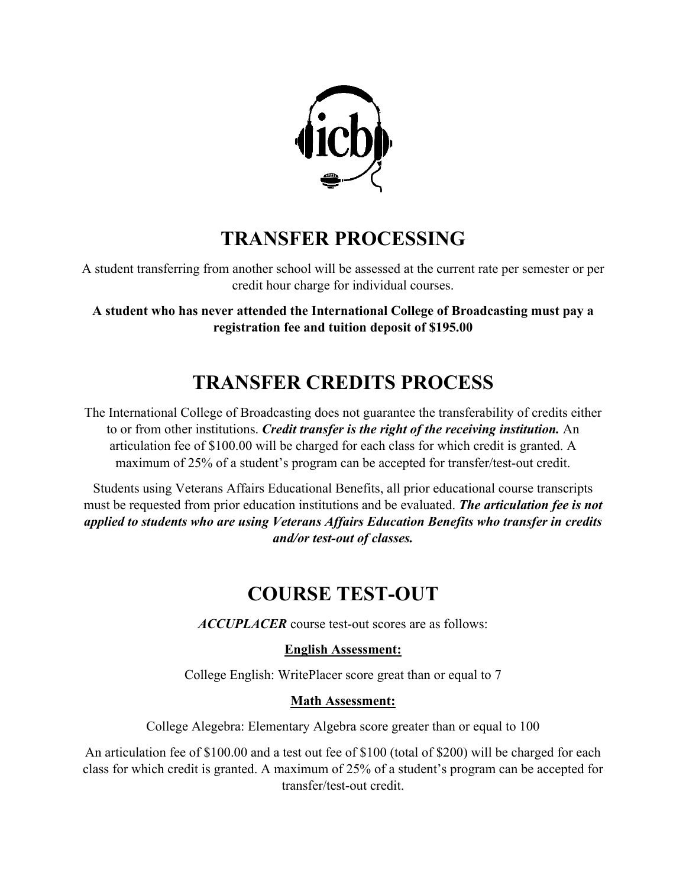

### **TRANSFER PROCESSING**

A student transferring from another school will be assessed at the current rate per semester or per credit hour charge for individual courses.

**A student who has never attended the International College of Broadcasting must pay a registration fee and tuition deposit of \$195.00**

# **TRANSFER CREDITS PROCESS**

The International College of Broadcasting does not guarantee the transferability of credits either to or from other institutions. *Credit transfer is the right of the receiving institution.* An articulation fee of \$100.00 will be charged for each class for which credit is granted. A maximum of 25% of a student's program can be accepted for transfer/test-out credit.

Students using Veterans Affairs Educational Benefits, all prior educational course transcripts must be requested from prior education institutions and be evaluated. *The articulation fee is not applied to students who are using Veterans Affairs Education Benefits who transfer in credits and/or test-out of classes.*

## **COURSE TEST-OUT**

*ACCUPLACER* course test-out scores are as follows:

### **English Assessment:**

College English: WritePlacer score great than or equal to 7

#### **Math Assessment:**

College Alegebra: Elementary Algebra score greater than or equal to 100

An articulation fee of \$100.00 and a test out fee of \$100 (total of \$200) will be charged for each class for which credit is granted. A maximum of 25% of a student's program can be accepted for transfer/test-out credit.